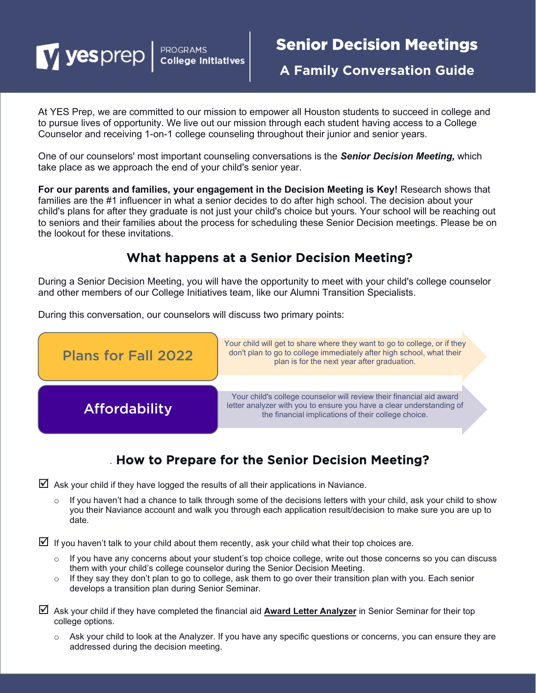Vesprep | PROGRAMS

**A Family Conversation Guide**

At YES Prep, we are committed to our mission to empower all Houston students to succeed in college and to pursue lives of opportunity. We live out our mission through each student having access to a College Counselor and receiving 1-on-1 college counseling throughout their junior and senior years.

One of our counselors' most important counseling conversations is the *Senior Decision Meeting,* which take place as we approach the end of your child's senior year.

**For our parents and families, your engagement in the Decision Meeting is Key!** Research shows that families are the #1 influencer in what a senior decides to do after high school. The decision about your child's plans for after they graduate is not just your child's choice but yours. Your school will be reaching out to seniors and their families about the process for scheduling these Senior Decision meetings. Please be on the lookout for these invitations.

## What happens at a Senior Decision Meeting?

During a Senior Decision Meeting, you will have the opportunity to meet with your child's college counselor and other members of our College Initiatives team, like our Alumni Transition Specialists.

During this conversation, our counselors will discuss two primary points:



# . How to Prepare for the Senior Decision Meeting?

 $\boxtimes$  Ask your child if they have logged the results of all their applications in Naviance.

If you haven't had a chance to talk through some of the decisions letters with your child, ask your child to show you their Naviance account and walk you through each application result/decision to make sure you are up to date.

 $\boxtimes$  If you haven't talk to your child about them recently, ask your child what their top choices are.

- o If you have any concerns about your student's top choice college, write out those concerns so you can discuss them with your child's college counselor during the Senior Decision Meeting.
- $\circ$  If they say they don't plan to go to college, ask them to go over their transition plan with you. Each senior develops a transition plan during Senior Seminar.
- Ask your child if they have completed the financial aid **Award Letter Analyzer** in Senior Seminar for their top college options.
	- o Ask your child to look at the Analyzer. If you have any specific questions or concerns, you can ensure they are addressed during the decision meeting.